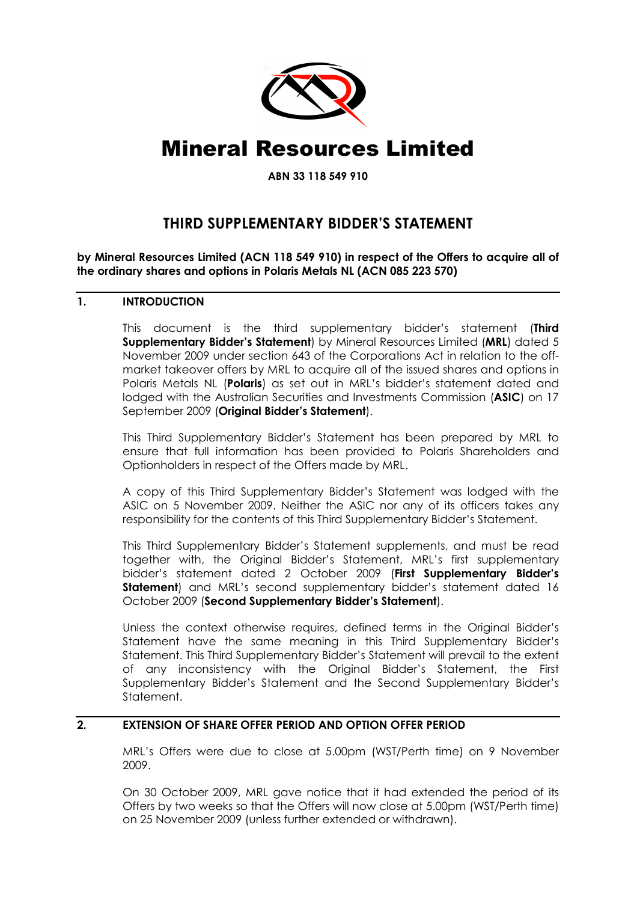

# Mineral Resources Limited

ABN 33 118 549 910

# THIRD SUPPLEMENTARY BIDDER'S STATEMENT

by Mineral Resources Limited (ACN 118 549 910) in respect of the Offers to acquire all of the ordinary shares and options in Polaris Metals NL (ACN 085 223 570)

# 1. INTRODUCTION

This document is the third supplementary bidder's statement (Third Supplementary Bidder's Statement) by Mineral Resources Limited (MRL) dated 5 November 2009 under section 643 of the Corporations Act in relation to the offmarket takeover offers by MRL to acquire all of the issued shares and options in Polaris Metals NL (Polaris) as set out in MRL's bidder's statement dated and lodged with the Australian Securities and Investments Commission (ASIC) on 17 September 2009 (Original Bidder's Statement).

This Third Supplementary Bidder's Statement has been prepared by MRL to ensure that full information has been provided to Polaris Shareholders and Optionholders in respect of the Offers made by MRL.

A copy of this Third Supplementary Bidder's Statement was lodged with the ASIC on 5 November 2009. Neither the ASIC nor any of its officers takes any responsibility for the contents of this Third Supplementary Bidder's Statement.

This Third Supplementary Bidder's Statement supplements, and must be read together with, the Original Bidder's Statement, MRL's first supplementary bidder's statement dated 2 October 2009 (First Supplementary Bidder's Statement) and MRL's second supplementary bidder's statement dated 16 October 2009 (Second Supplementary Bidder's Statement).

Unless the context otherwise requires, defined terms in the Original Bidder's Statement have the same meaning in this Third Supplementary Bidder's Statement. This Third Supplementary Bidder's Statement will prevail to the extent of any inconsistency with the Original Bidder's Statement, the First Supplementary Bidder's Statement and the Second Supplementary Bidder's Statement.

## 2. EXTENSION OF SHARE OFFER PERIOD AND OPTION OFFER PERIOD

MRL's Offers were due to close at 5.00pm (WST/Perth time) on 9 November 2009.

On 30 October 2009, MRL gave notice that it had extended the period of its Offers by two weeks so that the Offers will now close at 5.00pm (WST/Perth time) on 25 November 2009 (unless further extended or withdrawn).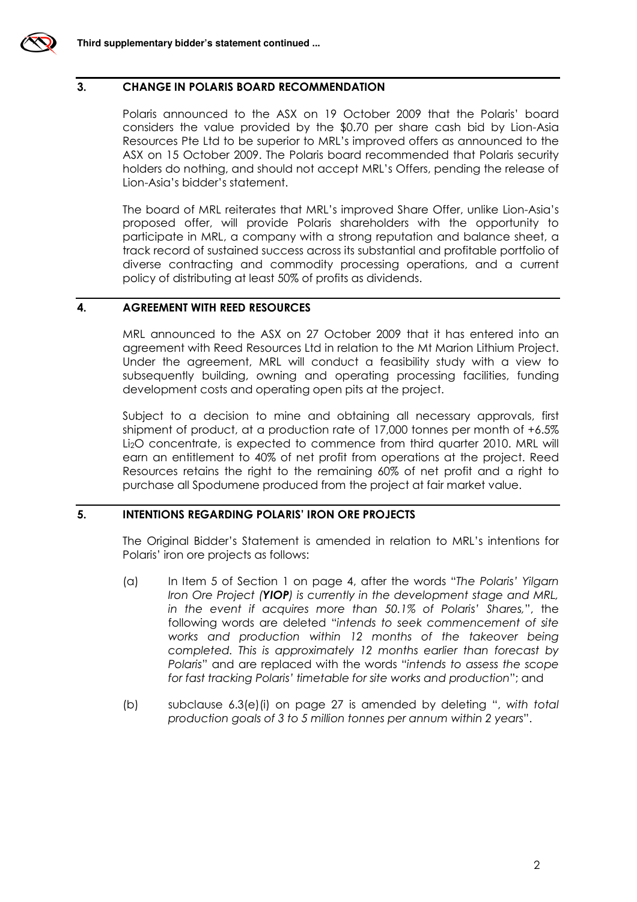

#### 3. CHANGE IN POLARIS BOARD RECOMMENDATION

Polaris announced to the ASX on 19 October 2009 that the Polaris' board considers the value provided by the \$0.70 per share cash bid by Lion-Asia Resources Pte Ltd to be superior to MRL's improved offers as announced to the ASX on 15 October 2009. The Polaris board recommended that Polaris security holders do nothing, and should not accept MRL's Offers, pending the release of Lion-Asia's bidder's statement.

The board of MRL reiterates that MRL's improved Share Offer, unlike Lion-Asia's proposed offer, will provide Polaris shareholders with the opportunity to participate in MRL, a company with a strong reputation and balance sheet, a track record of sustained success across its substantial and profitable portfolio of diverse contracting and commodity processing operations, and a current policy of distributing at least 50% of profits as dividends.

#### 4. AGREEMENT WITH REED RESOURCES

MRL announced to the ASX on 27 October 2009 that it has entered into an agreement with Reed Resources Ltd in relation to the Mt Marion Lithium Project. Under the agreement, MRL will conduct a feasibility study with a view to subsequently building, owning and operating processing facilities, funding development costs and operating open pits at the project.

Subject to a decision to mine and obtaining all necessary approvals, first shipment of product, at a production rate of 17,000 tonnes per month of +6.5% Li2O concentrate, is expected to commence from third quarter 2010. MRL will earn an entitlement to 40% of net profit from operations at the project. Reed Resources retains the right to the remaining 60% of net profit and a right to purchase all Spodumene produced from the project at fair market value.

#### 5. INTENTIONS REGARDING POLARIS' IRON ORE PROJECTS

The Original Bidder's Statement is amended in relation to MRL's intentions for Polaris' iron ore projects as follows:

- (a) In Item 5 of Section 1 on page 4, after the words "The Polaris' Yilgarn Iron Ore Project (**YIOP**) is currently in the development stage and MRL, in the event if acquires more than 50.1% of Polaris' Shares,", the following words are deleted "intends to seek commencement of site works and production within 12 months of the takeover being completed. This is approximately 12 months earlier than forecast by Polaris" and are replaced with the words "intends to assess the scope for fast tracking Polaris' timetable for site works and production"; and
- (b) subclause 6.3(e)(i) on page 27 is amended by deleting ", with total production goals of 3 to 5 million tonnes per annum within 2 years".